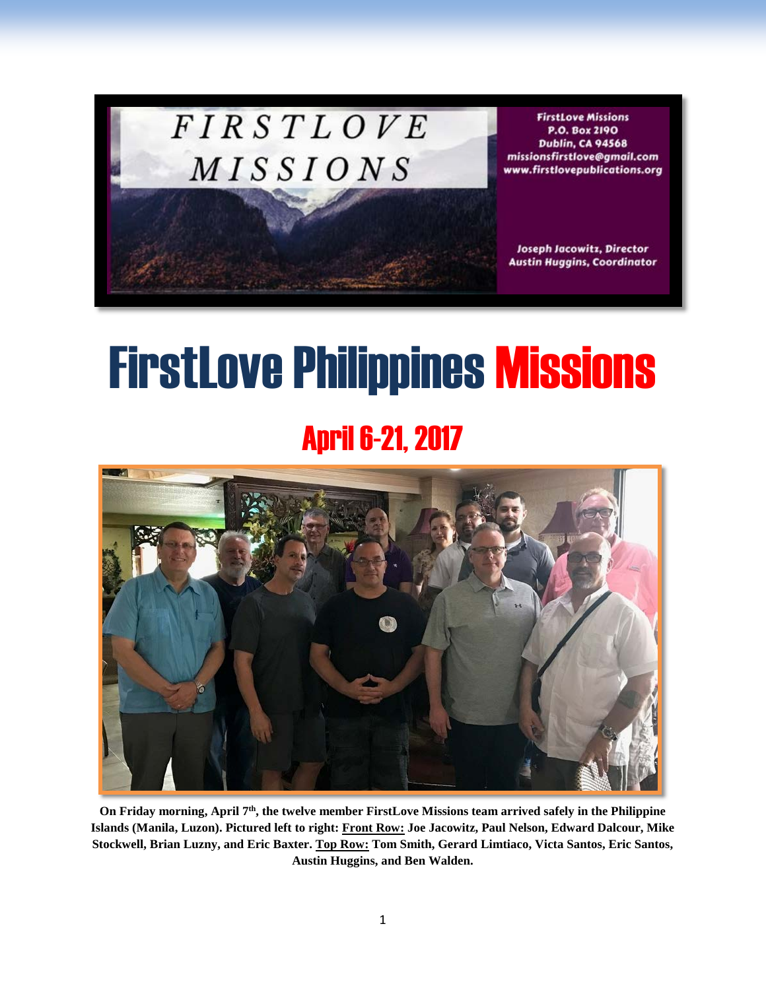## **FIRSTLOVE** MISSIONS

**FirstLove Missions** P.O. Box 2190 **Dublin, CA 94568** missionsfirstlove@gmail.com www.firstlovepublications.org

**Joseph Jacowitz, Director Austin Huggins, Coordinator** 

# **FirstLove Philippines Missions**

## April 6-21, 2017



**On Friday morning, April 7th, the twelve member FirstLove Missions team arrived safely in the Philippine Islands (Manila, Luzon). Pictured left to right: Front Row: Joe Jacowitz, Paul Nelson, Edward Dalcour, Mike Stockwell, Brian Luzny, and Eric Baxter. Top Row: Tom Smith, Gerard Limtiaco, Victa Santos, Eric Santos, Austin Huggins, and Ben Walden.**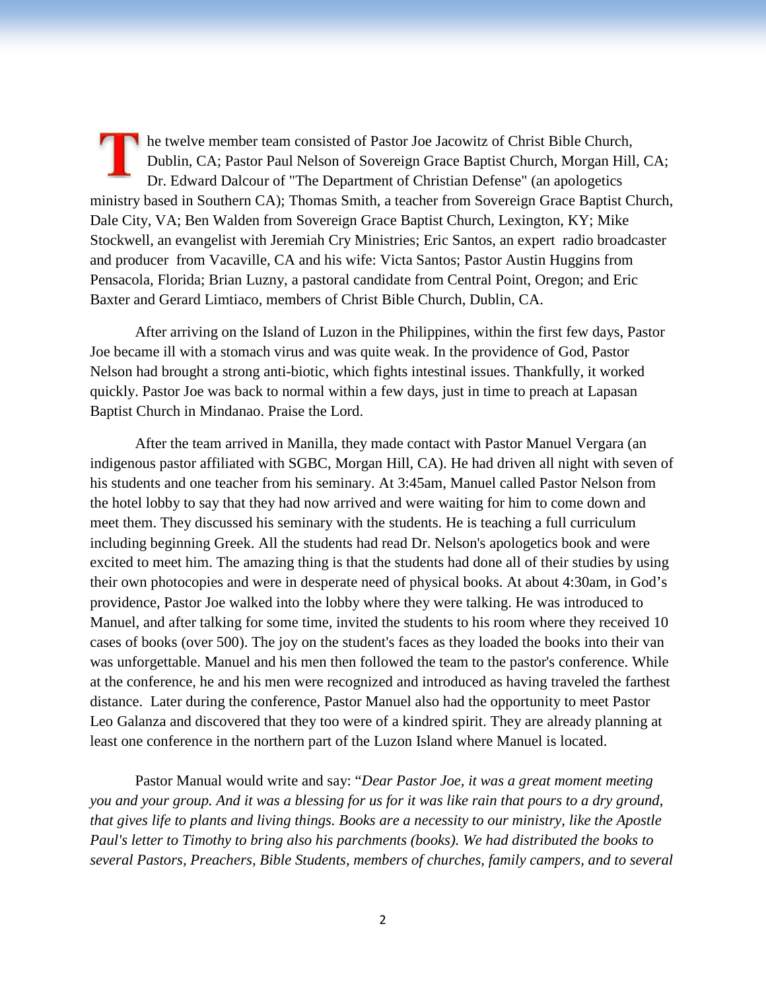he twelve member team consisted of Pastor Joe Jacowitz of Christ Bible Church, Dublin, CA; Pastor Paul Nelson of Sovereign Grace Baptist Church, Morgan Hill, CA; Dr. Edward Dalcour of "The Department of Christian Defense" (an apologetics ministry based in Southern CA); Thomas Smith, a teacher from Sovereign Grace Baptist Church, Dale City, VA; Ben Walden from Sovereign Grace Baptist Church, Lexington, KY; Mike Stockwell, an evangelist with Jeremiah Cry Ministries; Eric Santos, an expert radio broadcaster and producer from Vacaville, CA and his wife: Victa Santos; Pastor Austin Huggins from Pensacola, Florida; Brian Luzny, a pastoral candidate from Central Point, Oregon; and Eric Baxter and Gerard Limtiaco, members of Christ Bible Church, Dublin, CA.

After arriving on the Island of Luzon in the Philippines, within the first few days, Pastor Joe became ill with a stomach virus and was quite weak. In the providence of God, Pastor Nelson had brought a strong anti-biotic, which fights intestinal issues. Thankfully, it worked quickly. Pastor Joe was back to normal within a few days, just in time to preach at Lapasan Baptist Church in Mindanao. Praise the Lord.

After the team arrived in Manilla, they made contact with Pastor Manuel Vergara (an indigenous pastor affiliated with SGBC, Morgan Hill, CA). He had driven all night with seven of his students and one teacher from his seminary. At 3:45am, Manuel called Pastor Nelson from the hotel lobby to say that they had now arrived and were waiting for him to come down and meet them. They discussed his seminary with the students. He is teaching a full curriculum including beginning Greek. All the students had read Dr. Nelson's apologetics book and were excited to meet him. The amazing thing is that the students had done all of their studies by using their own photocopies and were in desperate need of physical books. At about 4:30am, in God's providence, Pastor Joe walked into the lobby where they were talking. He was introduced to Manuel, and after talking for some time, invited the students to his room where they received 10 cases of books (over 500). The joy on the student's faces as they loaded the books into their van was unforgettable. Manuel and his men then followed the team to the pastor's conference. While at the conference, he and his men were recognized and introduced as having traveled the farthest distance. Later during the conference, Pastor Manuel also had the opportunity to meet Pastor Leo Galanza and discovered that they too were of a kindred spirit. They are already planning at least one conference in the northern part of the Luzon Island where Manuel is located.

Pastor Manual would write and say: "*Dear Pastor Joe, it was a great moment meeting you and your group. And it was a blessing for us for it was like rain that pours to a dry ground, that gives life to plants and living things. Books are a necessity to our ministry, like the Apostle Paul's letter to Timothy to bring also his parchments (books). We had distributed the books to several Pastors, Preachers, Bible Students, members of churches, family campers, and to several*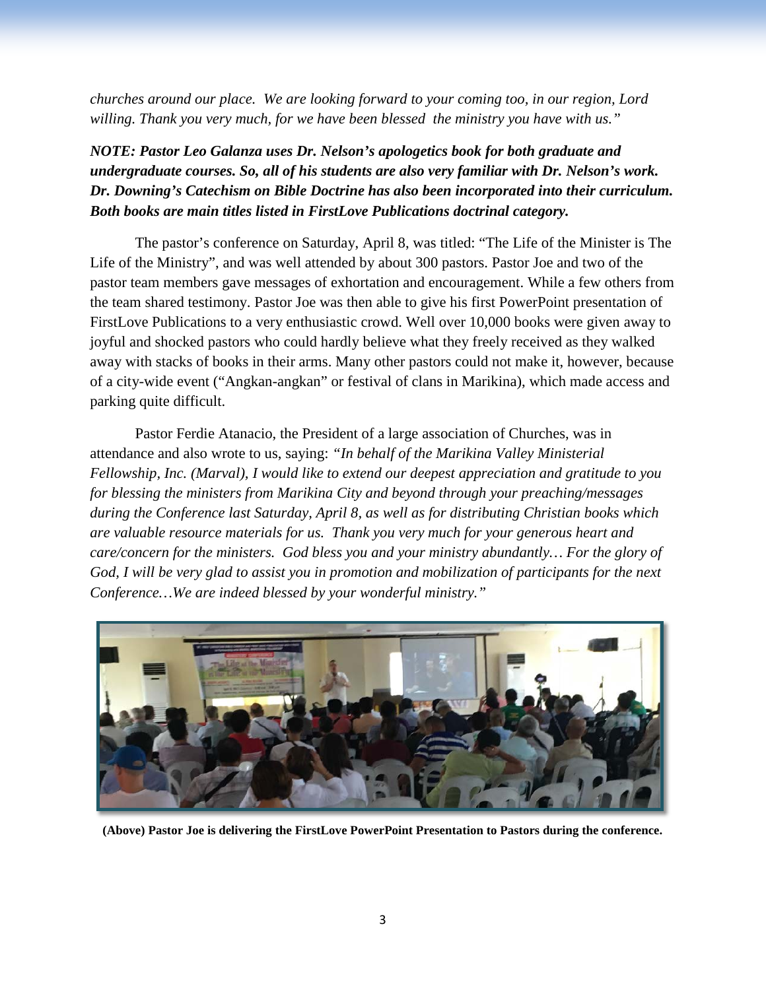*churches around our place. We are looking forward to your coming too, in our region, Lord willing. Thank you very much, for we have been blessed the ministry you have with us."*

### *NOTE: Pastor Leo Galanza uses Dr. Nelson's apologetics book for both graduate and undergraduate courses. So, all of his students are also very familiar with Dr. Nelson's work. Dr. Downing's Catechism on Bible Doctrine has also been incorporated into their curriculum. Both books are main titles listed in FirstLove Publications doctrinal category.*

The pastor's conference on Saturday, April 8, was titled: "The Life of the Minister is The Life of the Ministry", and was well attended by about 300 pastors. Pastor Joe and two of the pastor team members gave messages of exhortation and encouragement. While a few others from the team shared testimony. Pastor Joe was then able to give his first PowerPoint presentation of FirstLove Publications to a very enthusiastic crowd. Well over 10,000 books were given away to joyful and shocked pastors who could hardly believe what they freely received as they walked away with stacks of books in their arms. Many other pastors could not make it, however, because of a city-wide event ("Angkan-angkan" or festival of clans in Marikina), which made access and parking quite difficult.

Pastor Ferdie Atanacio, the President of a large association of Churches, was in attendance and also wrote to us, saying: *"In behalf of the Marikina Valley Ministerial Fellowship, Inc. (Marval), I would like to extend our deepest appreciation and gratitude to you for blessing the ministers from Marikina City and beyond through your preaching/messages during the Conference last Saturday, April 8, as well as for distributing Christian books which are valuable resource materials for us. Thank you very much for your generous heart and care/concern for the ministers. God bless you and your ministry abundantly… For the glory of God, I will be very glad to assist you in promotion and mobilization of participants for the next Conference…We are indeed blessed by your wonderful ministry."*



**(Above) Pastor Joe is delivering the FirstLove PowerPoint Presentation to Pastors during the conference.**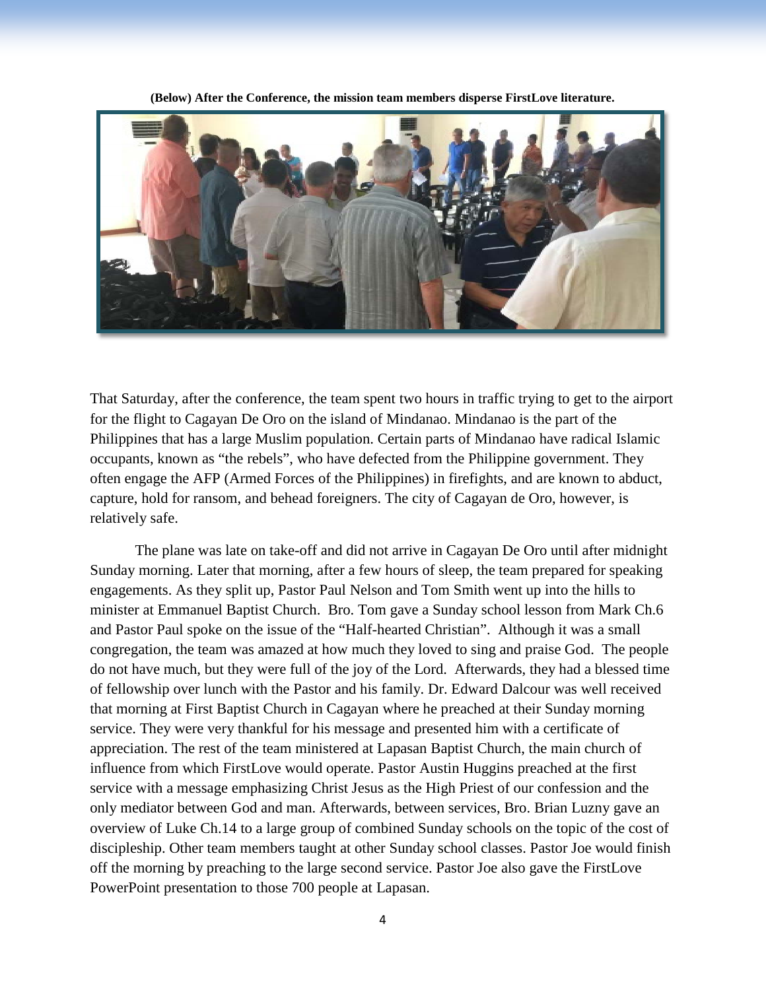

**(Below) After the Conference, the mission team members disperse FirstLove literature.**

That Saturday, after the conference, the team spent two hours in traffic trying to get to the airport for the flight to Cagayan De Oro on the island of Mindanao. Mindanao is the part of the Philippines that has a large Muslim population. Certain parts of Mindanao have radical Islamic occupants, known as "the rebels", who have defected from the Philippine government. They often engage the AFP (Armed Forces of the Philippines) in firefights, and are known to abduct, capture, hold for ransom, and behead foreigners. The city of Cagayan de Oro, however, is relatively safe.

The plane was late on take-off and did not arrive in Cagayan De Oro until after midnight Sunday morning. Later that morning, after a few hours of sleep, the team prepared for speaking engagements. As they split up, Pastor Paul Nelson and Tom Smith went up into the hills to minister at Emmanuel Baptist Church. Bro. Tom gave a Sunday school lesson from Mark Ch.6 and Pastor Paul spoke on the issue of the "Half-hearted Christian". Although it was a small congregation, the team was amazed at how much they loved to sing and praise God. The people do not have much, but they were full of the joy of the Lord. Afterwards, they had a blessed time of fellowship over lunch with the Pastor and his family. Dr. Edward Dalcour was well received that morning at First Baptist Church in Cagayan where he preached at their Sunday morning service. They were very thankful for his message and presented him with a certificate of appreciation. The rest of the team ministered at Lapasan Baptist Church, the main church of influence from which FirstLove would operate. Pastor Austin Huggins preached at the first service with a message emphasizing Christ Jesus as the High Priest of our confession and the only mediator between God and man. Afterwards, between services, Bro. Brian Luzny gave an overview of Luke Ch.14 to a large group of combined Sunday schools on the topic of the cost of discipleship. Other team members taught at other Sunday school classes. Pastor Joe would finish off the morning by preaching to the large second service. Pastor Joe also gave the FirstLove PowerPoint presentation to those 700 people at Lapasan.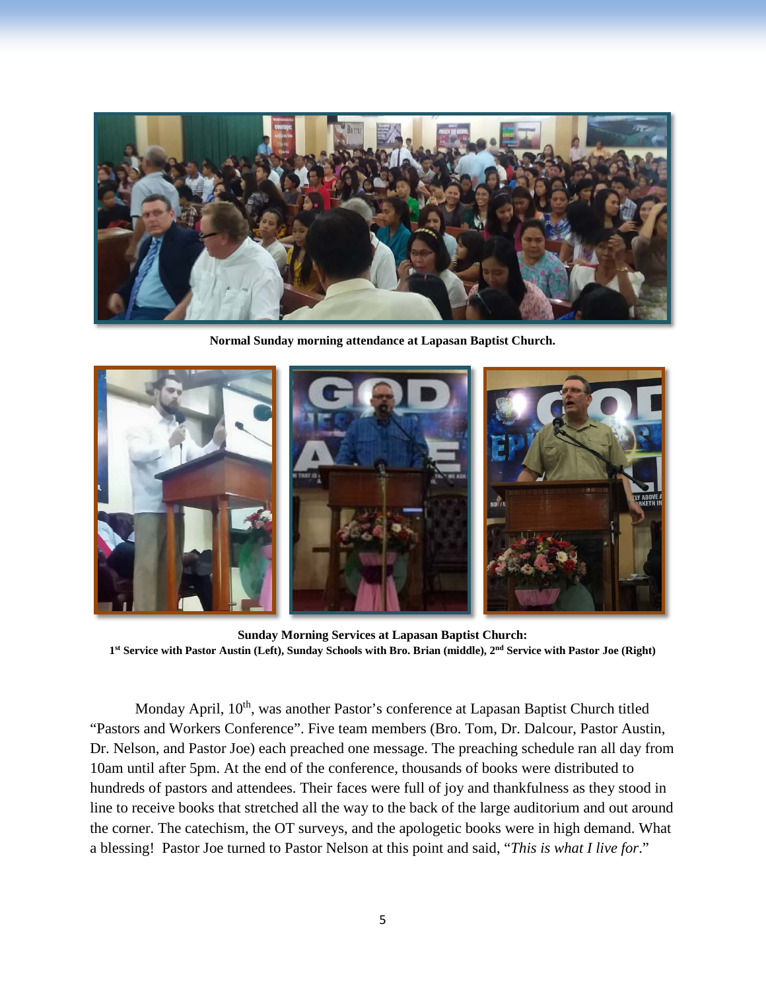

**Normal Sunday morning attendance at Lapasan Baptist Church.**



**Sunday Morning Services at Lapasan Baptist Church: 1st Service with Pastor Austin (Left), Sunday Schools with Bro. Brian (middle), 2nd Service with Pastor Joe (Right)**

Monday April, 10<sup>th</sup>, was another Pastor's conference at Lapasan Baptist Church titled "Pastors and Workers Conference". Five team members (Bro. Tom, Dr. Dalcour, Pastor Austin, Dr. Nelson, and Pastor Joe) each preached one message. The preaching schedule ran all day from 10am until after 5pm. At the end of the conference, thousands of books were distributed to hundreds of pastors and attendees. Their faces were full of joy and thankfulness as they stood in line to receive books that stretched all the way to the back of the large auditorium and out around the corner. The catechism, the OT surveys, and the apologetic books were in high demand. What a blessing! Pastor Joe turned to Pastor Nelson at this point and said, "*This is what I live for*."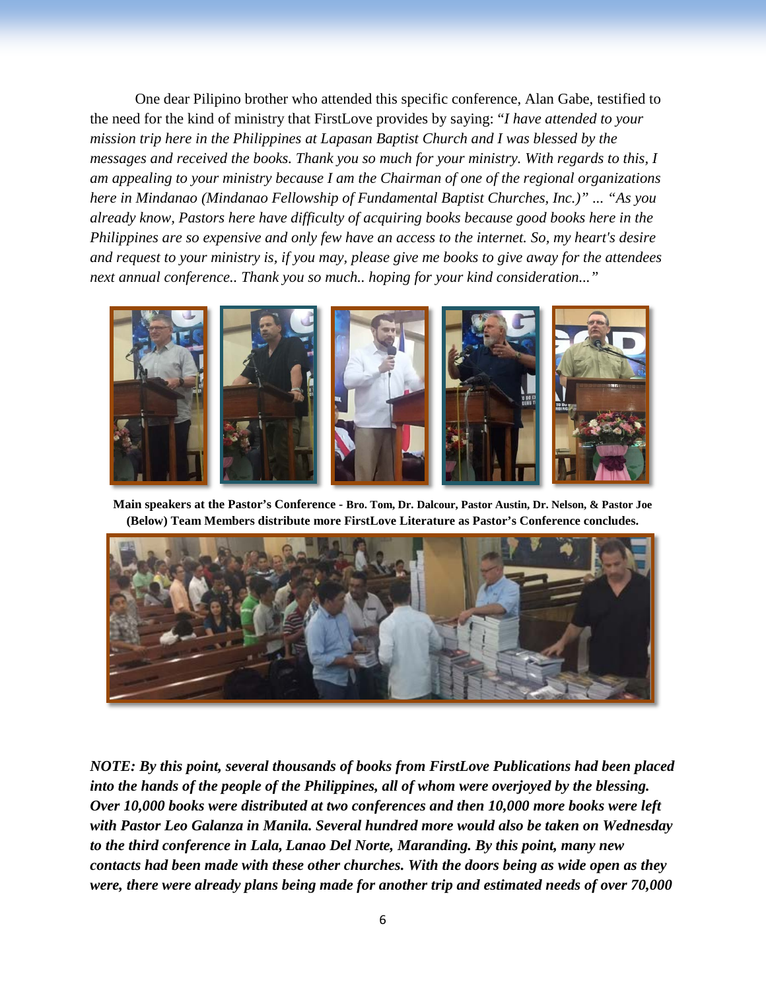One dear Pilipino brother who attended this specific conference, Alan Gabe, testified to the need for the kind of ministry that FirstLove provides by saying: "*I have attended to your mission trip here in the Philippines at Lapasan Baptist Church and I was blessed by the messages and received the books. Thank you so much for your ministry. With regards to this, I am appealing to your ministry because I am the Chairman of one of the regional organizations here in Mindanao (Mindanao Fellowship of Fundamental Baptist Churches, Inc.)" ... "As you already know, Pastors here have difficulty of acquiring books because good books here in the Philippines are so expensive and only few have an access to the internet. So, my heart's desire and request to your ministry is, if you may, please give me books to give away for the attendees next annual conference.. Thank you so much.. hoping for your kind consideration..."*



**Main speakers at the Pastor's Conference - Bro. Tom, Dr. Dalcour, Pastor Austin, Dr. Nelson, & Pastor Joe (Below) Team Members distribute more FirstLove Literature as Pastor's Conference concludes.**



*NOTE: By this point, several thousands of books from FirstLove Publications had been placed into the hands of the people of the Philippines, all of whom were overjoyed by the blessing. Over 10,000 books were distributed at two conferences and then 10,000 more books were left with Pastor Leo Galanza in Manila. Several hundred more would also be taken on Wednesday to the third conference in Lala, Lanao Del Norte, Maranding. By this point, many new contacts had been made with these other churches. With the doors being as wide open as they were, there were already plans being made for another trip and estimated needs of over 70,000*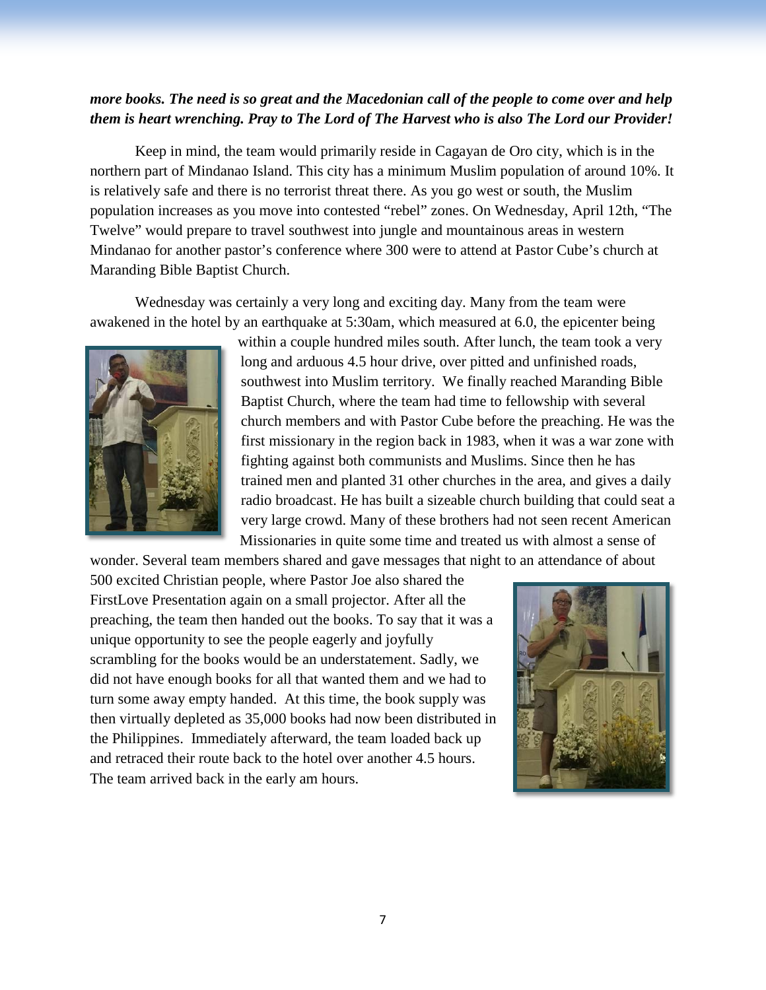#### *more books. The need is so great and the Macedonian call of the people to come over and help them is heart wrenching. Pray to The Lord of The Harvest who is also The Lord our Provider!*

Keep in mind, the team would primarily reside in Cagayan de Oro city, which is in the northern part of Mindanao Island. This city has a minimum Muslim population of around 10%. It is relatively safe and there is no terrorist threat there. As you go west or south, the Muslim population increases as you move into contested "rebel" zones. On Wednesday, April 12th, "The Twelve" would prepare to travel southwest into jungle and mountainous areas in western Mindanao for another pastor's conference where 300 were to attend at Pastor Cube's church at Maranding Bible Baptist Church.

Wednesday was certainly a very long and exciting day. Many from the team were awakened in the hotel by an earthquake at 5:30am, which measured at 6.0, the epicenter being



within a couple hundred miles south. After lunch, the team took a very long and arduous 4.5 hour drive, over pitted and unfinished roads, southwest into Muslim territory. We finally reached Maranding Bible Baptist Church, where the team had time to fellowship with several church members and with Pastor Cube before the preaching. He was the first missionary in the region back in 1983, when it was a war zone with fighting against both communists and Muslims. Since then he has trained men and planted 31 other churches in the area, and gives a daily radio broadcast. He has built a sizeable church building that could seat a very large crowd. Many of these brothers had not seen recent American Missionaries in quite some time and treated us with almost a sense of

wonder. Several team members shared and gave messages that night to an attendance of about 500 excited Christian people, where Pastor Joe also shared the FirstLove Presentation again on a small projector. After all the preaching, the team then handed out the books. To say that it was a unique opportunity to see the people eagerly and joyfully scrambling for the books would be an understatement. Sadly, we did not have enough books for all that wanted them and we had to turn some away empty handed. At this time, the book supply was then virtually depleted as 35,000 books had now been distributed in the Philippines. Immediately afterward, the team loaded back up and retraced their route back to the hotel over another 4.5 hours. The team arrived back in the early am hours.

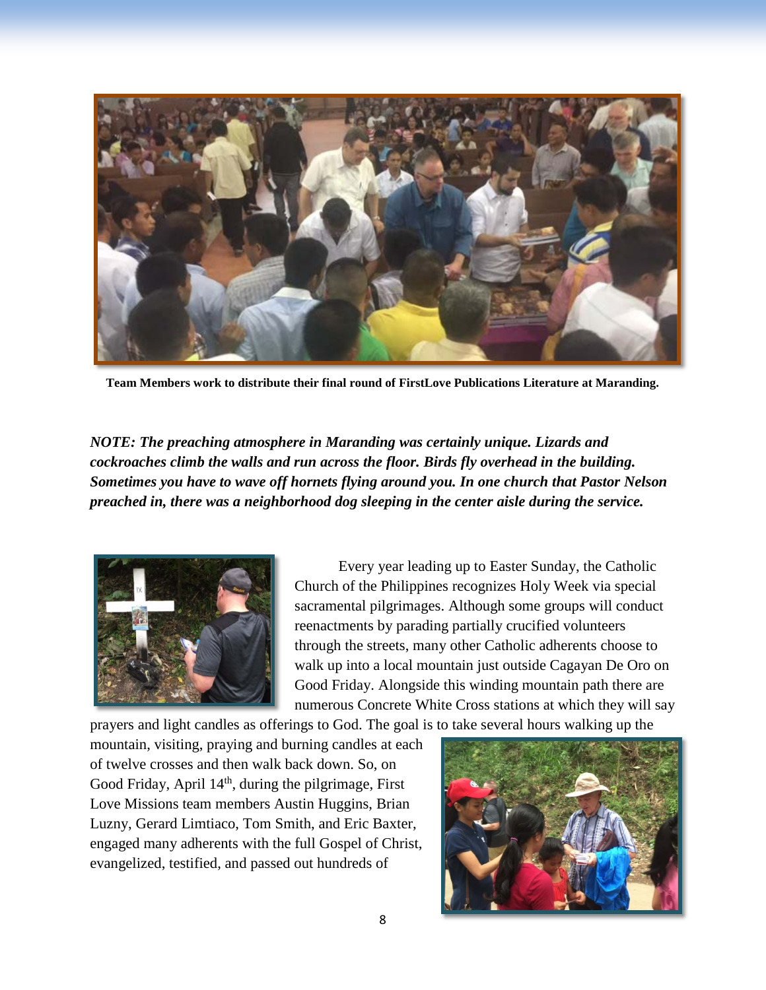

**Team Members work to distribute their final round of FirstLove Publications Literature at Maranding.**

*NOTE: The preaching atmosphere in Maranding was certainly unique. Lizards and cockroaches climb the walls and run across the floor. Birds fly overhead in the building. Sometimes you have to wave off hornets flying around you. In one church that Pastor Nelson preached in, there was a neighborhood dog sleeping in the center aisle during the service.*



Every year leading up to Easter Sunday, the Catholic Church of the Philippines recognizes Holy Week via special sacramental pilgrimages. Although some groups will conduct reenactments by parading partially crucified volunteers through the streets, many other Catholic adherents choose to walk up into a local mountain just outside Cagayan De Oro on Good Friday. Alongside this winding mountain path there are numerous Concrete White Cross stations at which they will say

prayers and light candles as offerings to God. The goal is to take several hours walking up the mountain, visiting, praying and burning candles at each of twelve crosses and then walk back down. So, on Good Friday, April  $14<sup>th</sup>$ , during the pilgrimage, First Love Missions team members Austin Huggins, Brian Luzny, Gerard Limtiaco, Tom Smith, and Eric Baxter, engaged many adherents with the full Gospel of Christ, evangelized, testified, and passed out hundreds of

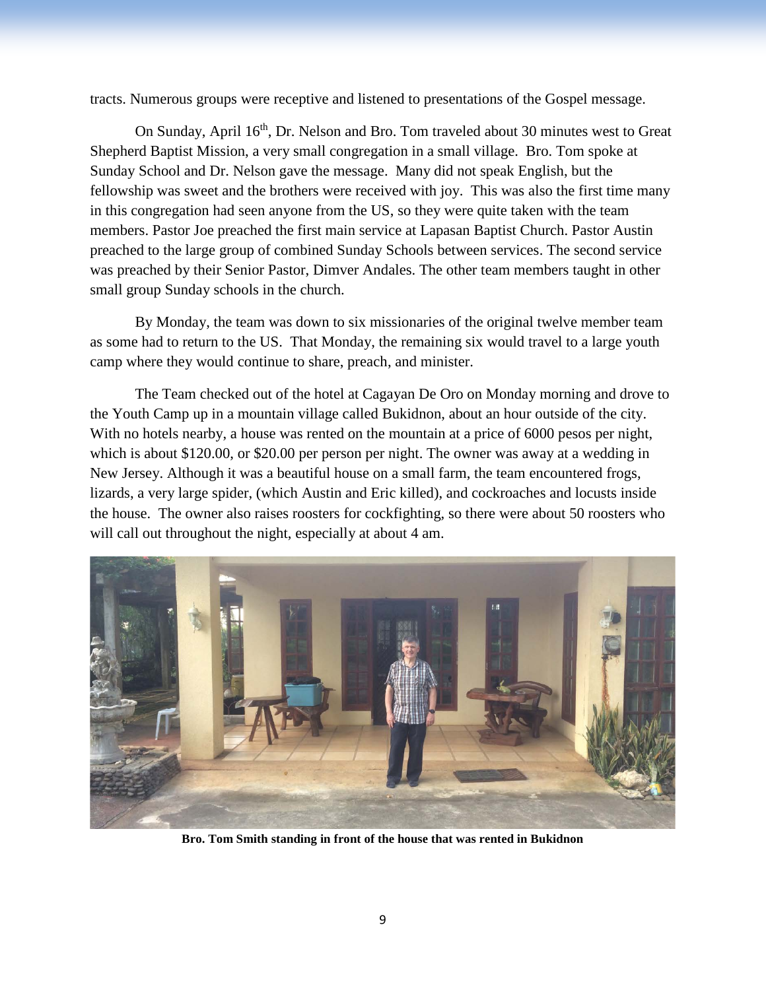tracts. Numerous groups were receptive and listened to presentations of the Gospel message.

On Sunday, April 16<sup>th</sup>, Dr. Nelson and Bro. Tom traveled about 30 minutes west to Great Shepherd Baptist Mission, a very small congregation in a small village. Bro. Tom spoke at Sunday School and Dr. Nelson gave the message. Many did not speak English, but the fellowship was sweet and the brothers were received with joy. This was also the first time many in this congregation had seen anyone from the US, so they were quite taken with the team members. Pastor Joe preached the first main service at Lapasan Baptist Church. Pastor Austin preached to the large group of combined Sunday Schools between services. The second service was preached by their Senior Pastor, Dimver Andales. The other team members taught in other small group Sunday schools in the church.

By Monday, the team was down to six missionaries of the original twelve member team as some had to return to the US. That Monday, the remaining six would travel to a large youth camp where they would continue to share, preach, and minister.

The Team checked out of the hotel at Cagayan De Oro on Monday morning and drove to the Youth Camp up in a mountain village called Bukidnon, about an hour outside of the city. With no hotels nearby, a house was rented on the mountain at a price of 6000 pesos per night, which is about \$120.00, or \$20.00 per person per night. The owner was away at a wedding in New Jersey. Although it was a beautiful house on a small farm, the team encountered frogs, lizards, a very large spider, (which Austin and Eric killed), and cockroaches and locusts inside the house. The owner also raises roosters for cockfighting, so there were about 50 roosters who will call out throughout the night, especially at about 4 am.



**Bro. Tom Smith standing in front of the house that was rented in Bukidnon**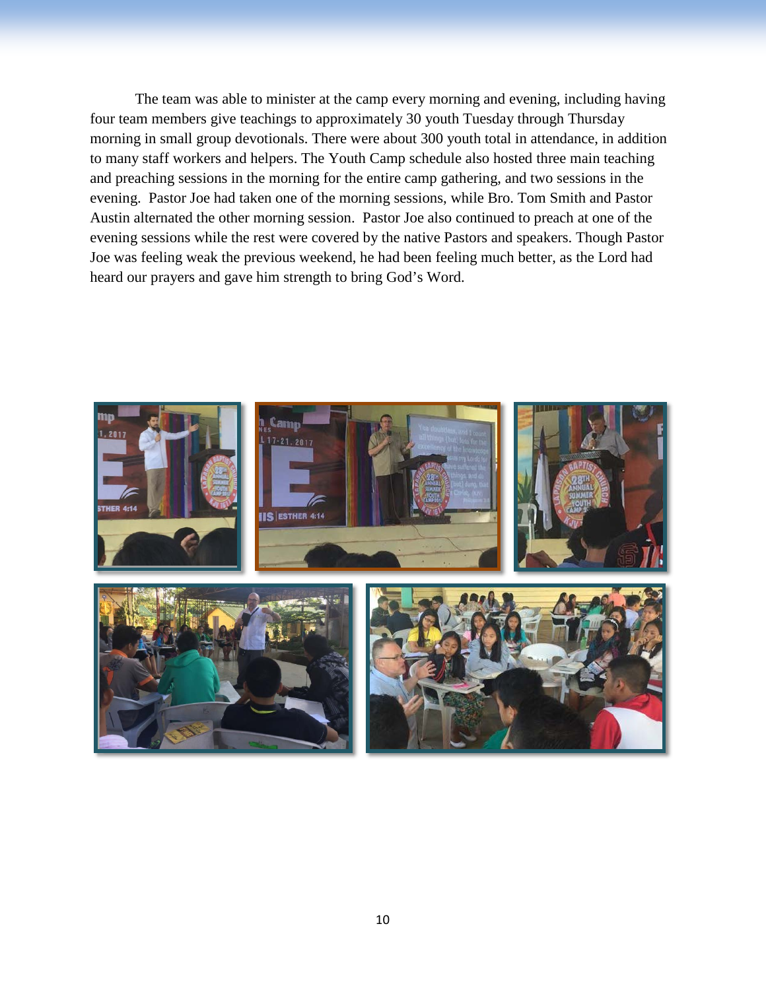The team was able to minister at the camp every morning and evening, including having four team members give teachings to approximately 30 youth Tuesday through Thursday morning in small group devotionals. There were about 300 youth total in attendance, in addition to many staff workers and helpers. The Youth Camp schedule also hosted three main teaching and preaching sessions in the morning for the entire camp gathering, and two sessions in the evening. Pastor Joe had taken one of the morning sessions, while Bro. Tom Smith and Pastor Austin alternated the other morning session. Pastor Joe also continued to preach at one of the evening sessions while the rest were covered by the native Pastors and speakers. Though Pastor Joe was feeling weak the previous weekend, he had been feeling much better, as the Lord had heard our prayers and gave him strength to bring God's Word.

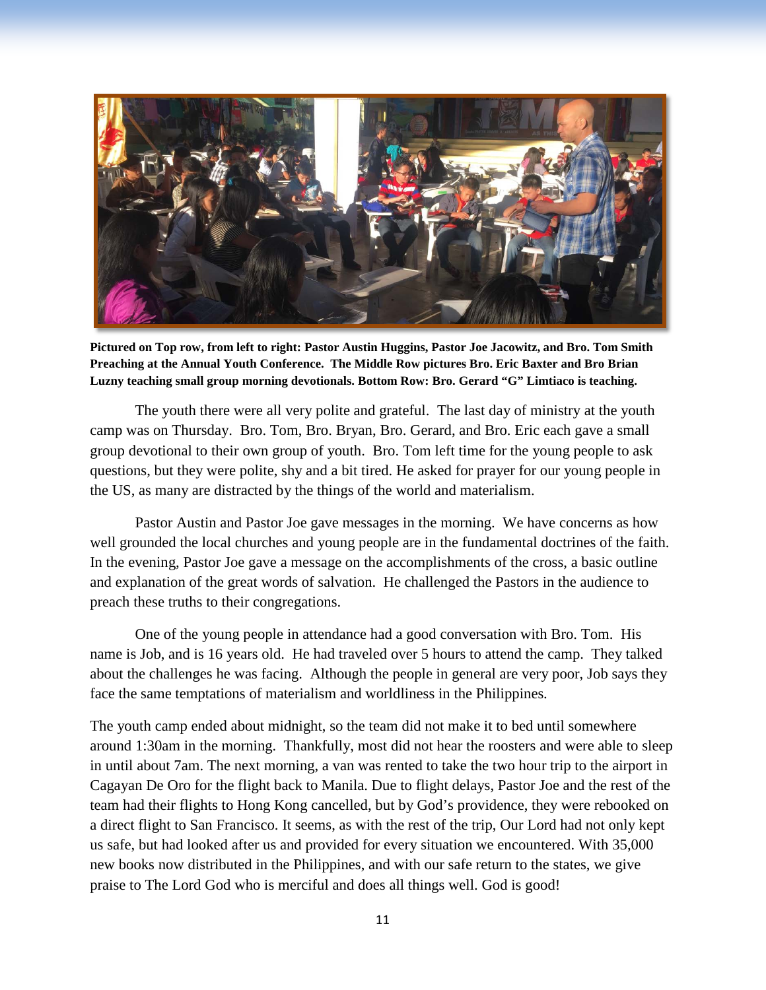

**Pictured on Top row, from left to right: Pastor Austin Huggins, Pastor Joe Jacowitz, and Bro. Tom Smith Preaching at the Annual Youth Conference. The Middle Row pictures Bro. Eric Baxter and Bro Brian Luzny teaching small group morning devotionals. Bottom Row: Bro. Gerard "G" Limtiaco is teaching.** 

The youth there were all very polite and grateful. The last day of ministry at the youth camp was on Thursday. Bro. Tom, Bro. Bryan, Bro. Gerard, and Bro. Eric each gave a small group devotional to their own group of youth. Bro. Tom left time for the young people to ask questions, but they were polite, shy and a bit tired. He asked for prayer for our young people in the US, as many are distracted by the things of the world and materialism.

Pastor Austin and Pastor Joe gave messages in the morning. We have concerns as how well grounded the local churches and young people are in the fundamental doctrines of the faith. In the evening, Pastor Joe gave a message on the accomplishments of the cross, a basic outline and explanation of the great words of salvation. He challenged the Pastors in the audience to preach these truths to their congregations.

One of the young people in attendance had a good conversation with Bro. Tom. His name is Job, and is 16 years old. He had traveled over 5 hours to attend the camp. They talked about the challenges he was facing. Although the people in general are very poor, Job says they face the same temptations of materialism and worldliness in the Philippines.

The youth camp ended about midnight, so the team did not make it to bed until somewhere around 1:30am in the morning. Thankfully, most did not hear the roosters and were able to sleep in until about 7am. The next morning, a van was rented to take the two hour trip to the airport in Cagayan De Oro for the flight back to Manila. Due to flight delays, Pastor Joe and the rest of the team had their flights to Hong Kong cancelled, but by God's providence, they were rebooked on a direct flight to San Francisco. It seems, as with the rest of the trip, Our Lord had not only kept us safe, but had looked after us and provided for every situation we encountered. With 35,000 new books now distributed in the Philippines, and with our safe return to the states, we give praise to The Lord God who is merciful and does all things well. God is good!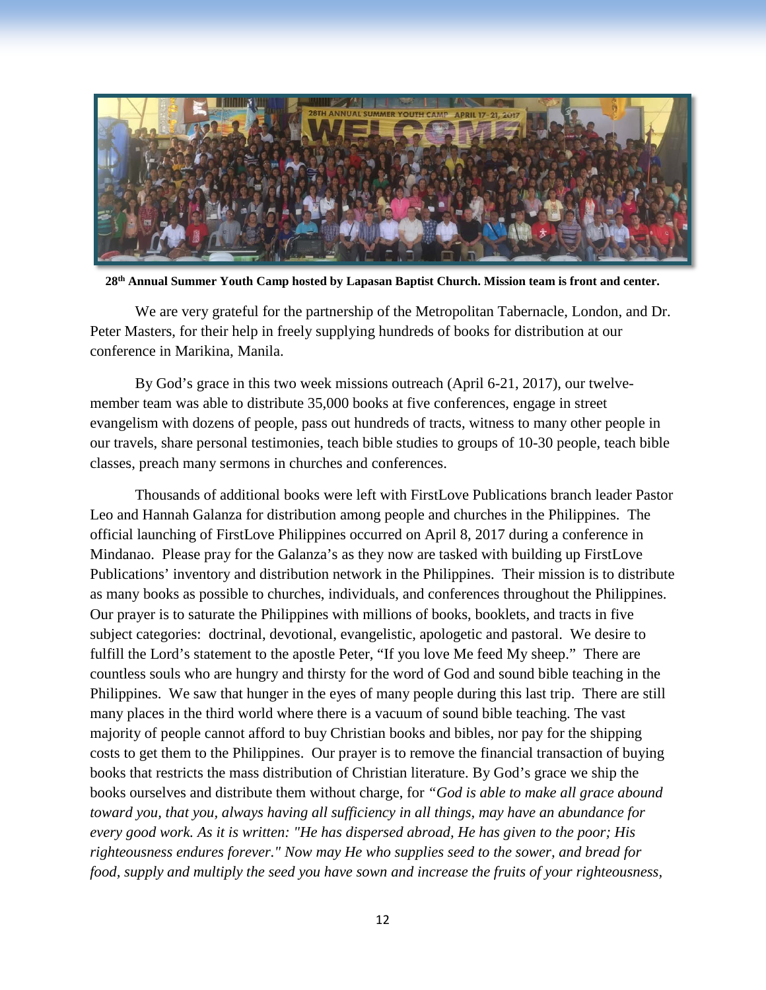

**28th Annual Summer Youth Camp hosted by Lapasan Baptist Church. Mission team is front and center.**

We are very grateful for the partnership of the Metropolitan Tabernacle, London, and Dr. Peter Masters, for their help in freely supplying hundreds of books for distribution at our conference in Marikina, Manila.

By God's grace in this two week missions outreach (April 6-21, 2017), our twelvemember team was able to distribute 35,000 books at five conferences, engage in street evangelism with dozens of people, pass out hundreds of tracts, witness to many other people in our travels, share personal testimonies, teach bible studies to groups of 10-30 people, teach bible classes, preach many sermons in churches and conferences.

Thousands of additional books were left with FirstLove Publications branch leader Pastor Leo and Hannah Galanza for distribution among people and churches in the Philippines. The official launching of FirstLove Philippines occurred on April 8, 2017 during a conference in Mindanao. Please pray for the Galanza's as they now are tasked with building up FirstLove Publications' inventory and distribution network in the Philippines. Their mission is to distribute as many books as possible to churches, individuals, and conferences throughout the Philippines. Our prayer is to saturate the Philippines with millions of books, booklets, and tracts in five subject categories: doctrinal, devotional, evangelistic, apologetic and pastoral. We desire to fulfill the Lord's statement to the apostle Peter, "If you love Me feed My sheep." There are countless souls who are hungry and thirsty for the word of God and sound bible teaching in the Philippines. We saw that hunger in the eyes of many people during this last trip. There are still many places in the third world where there is a vacuum of sound bible teaching. The vast majority of people cannot afford to buy Christian books and bibles, nor pay for the shipping costs to get them to the Philippines. Our prayer is to remove the financial transaction of buying books that restricts the mass distribution of Christian literature. By God's grace we ship the books ourselves and distribute them without charge, for *"God is able to make all grace abound toward you, that you, always having all sufficiency in all things, may have an abundance for every good work. As it is written: "He has dispersed abroad, He has given to the poor; His righteousness endures forever." Now may He who supplies seed to the sower, and bread for food, supply and multiply the seed you have sown and increase the fruits of your righteousness,*